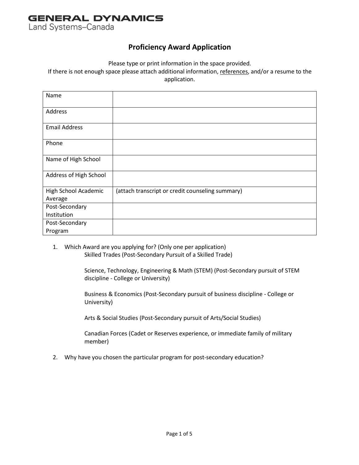Land Systems-Canada

#### **Proficiency Award Application**

Please type or print information in the space provided.

If there is not enough space please attach additional information, references, and/or a resume to the application.

| Name                            |                                                  |
|---------------------------------|--------------------------------------------------|
| Address                         |                                                  |
| <b>Email Address</b>            |                                                  |
| Phone                           |                                                  |
| Name of High School             |                                                  |
| Address of High School          |                                                  |
| High School Academic<br>Average | (attach transcript or credit counseling summary) |
| Post-Secondary                  |                                                  |
| Institution                     |                                                  |
| Post-Secondary                  |                                                  |
| Program                         |                                                  |

1. Which Award are you applying for? (Only one per application) Skilled Trades (Post-Secondary Pursuit of a Skilled Trade)

> Science, Technology, Engineering & Math (STEM) (Post-Secondary pursuit of STEM discipline - College or University)

Business & Economics (Post-Secondary pursuit of business discipline - College or University)

Arts & Social Studies (Post-Secondary pursuit of Arts/Social Studies)

Canadian Forces (Cadet or Reserves experience, or immediate family of military member)

2. Why have you chosen the particular program for post-secondary education?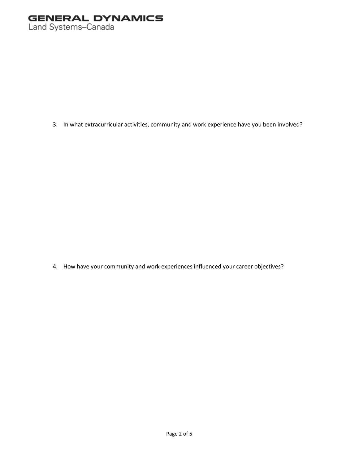3. In what extracurricular activities, community and work experience have you been involved?

4. How have your community and work experiences influenced your career objectives?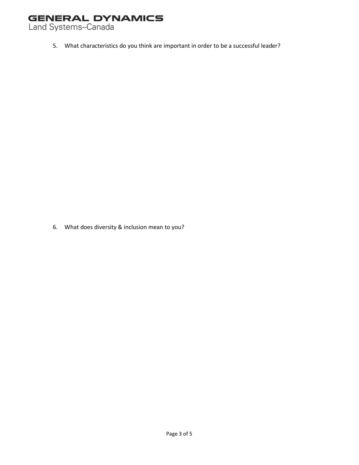Land Systems-Canada

5. What characteristics do you think are important in order to be a successful leader?

6. What does diversity & inclusion mean to you?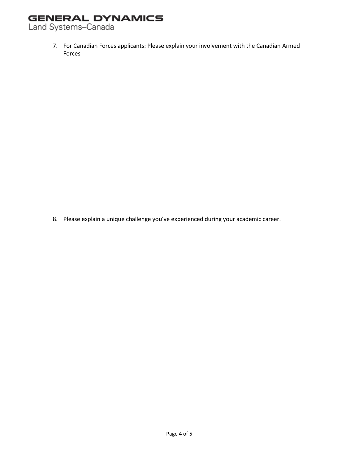Land Systems-Canada

7. For Canadian Forces applicants: Please explain your involvement with the Canadian Armed Forces

8. Please explain a unique challenge you've experienced during your academic career.